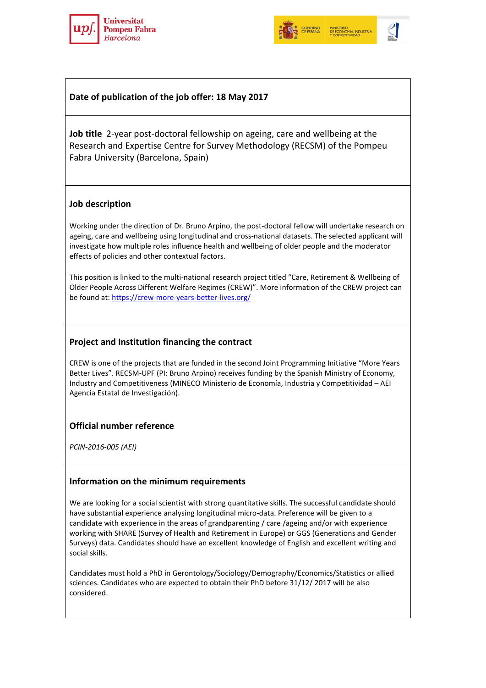



# **Date of publication of the job offer: 18 May 2017**

**Job title** 2-year post-doctoral fellowship on ageing, care and wellbeing at the Research and Expertise Centre for Survey Methodology (RECSM) of the Pompeu Fabra University (Barcelona, Spain)

## **Job description**

Working under the direction of Dr. Bruno Arpino, the post-doctoral fellow will undertake research on ageing, care and wellbeing using longitudinal and cross-national datasets. The selected applicant will investigate how multiple roles influence health and wellbeing of older people and the moderator effects of policies and other contextual factors.

This position is linked to the multi-national research project titled "Care, Retirement & Wellbeing of Older People Across Different Welfare Regimes (CREW)". More information of the CREW project can be found at:<https://crew-more-years-better-lives.org/>

## **Project and Institution financing the contract**

CREW is one of the projects that are funded in the second Joint Programming Initiative "More Years Better Lives". RECSM-UPF (PI: Bruno Arpino) receives funding by the Spanish Ministry of Economy, Industry and Competitiveness (MINECO Ministerio de Economía, Industria y Competitividad – AEI Agencia Estatal de Investigación).

# **Official number reference**

*PCIN-2016-005 (AEI)*

#### **Information on the minimum requirements**

We are looking for a social scientist with strong quantitative skills. The successful candidate should have substantial experience analysing longitudinal micro-data. Preference will be given to a candidate with experience in the areas of grandparenting / care /ageing and/or with experience working with SHARE (Survey of Health and Retirement in Europe) or GGS (Generations and Gender Surveys) data. Candidates should have an excellent knowledge of English and excellent writing and social skills.

Candidates must hold a PhD in Gerontology/Sociology/Demography/Economics/Statistics or allied sciences. Candidates who are expected to obtain their PhD before 31/12/ 2017 will be also considered.